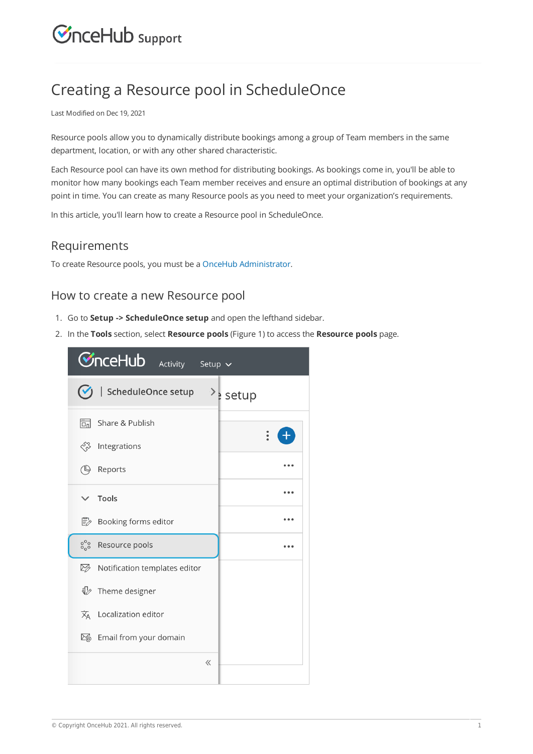# **CInceHub** support

# Creating a Resource pool in ScheduleOnce

Last Modified on Dec 19, 2021

Resource pools allow you to dynamically distribute bookings among a group of Team members in the same department, location, or with any other shared characteristic.

Each Resource pool can have its own method for distributing bookings. As bookings come in, you'll be able to monitor how many bookings each Team member receives and ensure an optimal distribution of bookings at any point in time. You can create as many Resource pools as you need to meet your organization's requirements.

In this article, you'll learn how to create a Resource pool in ScheduleOnce.

#### Requirements

To create Resource pools, you must be a OnceHub Administrator.

## How to create a new Resource pool

- 1. Go to **Setup -> ScheduleOnce setup** and open the lefthand sidebar.
- 2. In the **Tools** section, select **Resource pools** (Figure 1) to access the **Resource pools** page.

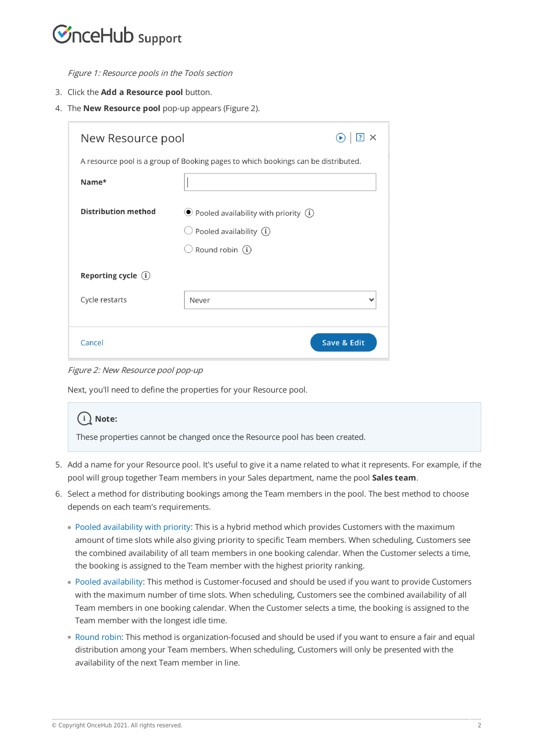# $\mathcal{\tilde{S}}$ nceHub support

Figure 1: Resource pools in the Tools section

- 3. Click the **Add a Resource pool** button.
- 4. The **New Resource pool** pop-up appears (Figure 2).

| New Resource pool                                                                 |                                                                                     |             |  |  |  |
|-----------------------------------------------------------------------------------|-------------------------------------------------------------------------------------|-------------|--|--|--|
| A resource pool is a group of Booking pages to which bookings can be distributed. |                                                                                     |             |  |  |  |
| Name*                                                                             |                                                                                     |             |  |  |  |
| <b>Distribution method</b>                                                        | $\odot$ Pooled availability with priority $(i)$<br>$\cup$ Pooled availability $(i)$ |             |  |  |  |
|                                                                                   | Round robin $(i)$                                                                   |             |  |  |  |
| Reporting cycle $(i)$                                                             |                                                                                     |             |  |  |  |
| Cycle restarts                                                                    | Never                                                                               |             |  |  |  |
| Cancel                                                                            |                                                                                     | Save & Edit |  |  |  |

Figure 2: New Resource pool pop-up

Next, you'll need to define the properties for your Resource pool.

### **Note:**

These properties cannot be changed once the Resource pool has been created.

- Add a name for your Resource pool. It's useful to give it a name related to what it represents. For example, if the 5. pool will group together Team members in your Sales department, name the pool **Sales team**.
- Select a method for distributing bookings among the Team members in the pool. The best method to choose 6. depends on each team's requirements.
	- Pooled availability with priority: This is a hybrid method which provides Customers with the maximum amount of time slots while also giving priority to specific Team members. When scheduling, Customers see the combined availability of all team members in one booking calendar. When the Customer selects a time, the booking is assigned to the Team member with the highest priority ranking.
	- Pooled availability: This method is Customer-focused and should be used if you want to provide Customers with the maximum number of time slots. When scheduling, Customers see the combined availability of all Team members in one booking calendar. When the Customer selects a time, the booking is assigned to the Team member with the longest idle time.
	- Round robin: This method is organization-focused and should be used if you want to ensure a fair and equal distribution among your Team members. When scheduling, Customers will only be presented with the availability of the next Team member in line.